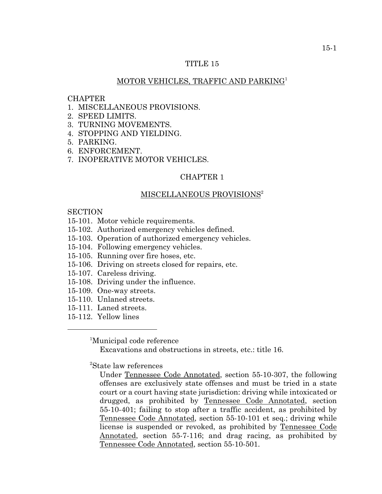# TITLE 15

# MOTOR VEHICLES, TRAFFIC AND PARKING<sup>1</sup>

# **CHAPTER**

- 1. MISCELLANEOUS PROVISIONS.
- 2. SPEED LIMITS.
- 3. TURNING MOVEMENTS.
- 4. STOPPING AND YIELDING.
- 5. PARKING.
- 6. ENFORCEMENT.
- 7. INOPERATIVE MOTOR VEHICLES.

# CHAPTER 1

## MISCELLANEOUS PROVISIONS<sup>2</sup>

## **SECTION**

- 15-101. Motor vehicle requirements.
- 15-102. Authorized emergency vehicles defined.
- 15-103. Operation of authorized emergency vehicles.
- 15-104. Following emergency vehicles.
- 15-105. Running over fire hoses, etc.
- 15-106. Driving on streets closed for repairs, etc.
- 15-107. Careless driving.
- 15-108. Driving under the influence.
- 15-109. One-way streets.
- 15-110. Unlaned streets.
- 15-111. Laned streets.
- 15-112. Yellow lines

1 Municipal code reference

Excavations and obstructions in streets, etc.: title 16.

2 State law references

Under Tennessee Code Annotated, section 55-10-307, the following offenses are exclusively state offenses and must be tried in a state court or a court having state jurisdiction: driving while intoxicated or drugged, as prohibited by Tennessee Code Annotated, section 55-10-401; failing to stop after a traffic accident, as prohibited by Tennessee Code Annotated, section 55-10-101 et seq.; driving while license is suspended or revoked, as prohibited by Tennessee Code Annotated, section 55-7-116; and drag racing, as prohibited by Tennessee Code Annotated, section 55-10-501.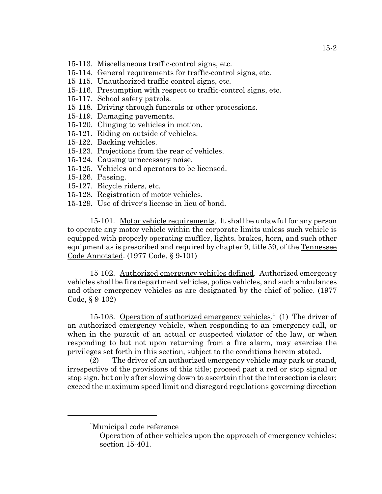- 15-113. Miscellaneous traffic-control signs, etc.
- 15-114. General requirements for traffic-control signs, etc.
- 15-115. Unauthorized traffic-control signs, etc.
- 15-116. Presumption with respect to traffic-control signs, etc.
- 15-117. School safety patrols.
- 15-118. Driving through funerals or other processions.
- 15-119. Damaging pavements.
- 15-120. Clinging to vehicles in motion.
- 15-121. Riding on outside of vehicles.
- 15-122. Backing vehicles.
- 15-123. Projections from the rear of vehicles.
- 15-124. Causing unnecessary noise.
- 15-125. Vehicles and operators to be licensed.
- 15-126. Passing.
- 15-127. Bicycle riders, etc.
- 15-128. Registration of motor vehicles.
- 15-129. Use of driver's license in lieu of bond.

15-101. Motor vehicle requirements. It shall be unlawful for any person to operate any motor vehicle within the corporate limits unless such vehicle is equipped with properly operating muffler, lights, brakes, horn, and such other equipment as is prescribed and required by chapter 9, title 59, of the Tennessee Code Annotated. (1977 Code, § 9-101)

15-102. Authorized emergency vehicles defined. Authorized emergency vehicles shall be fire department vehicles, police vehicles, and such ambulances and other emergency vehicles as are designated by the chief of police. (1977 Code, § 9-102)

15-103. Operation of authorized emergency vehicles.<sup>1</sup> (1) The driver of an authorized emergency vehicle, when responding to an emergency call, or when in the pursuit of an actual or suspected violator of the law, or when responding to but not upon returning from a fire alarm, may exercise the privileges set forth in this section, subject to the conditions herein stated.

(2) The driver of an authorized emergency vehicle may park or stand, irrespective of the provisions of this title; proceed past a red or stop signal or stop sign, but only after slowing down to ascertain that the intersection is clear; exceed the maximum speed limit and disregard regulations governing direction

<sup>&</sup>lt;sup>1</sup>Municipal code reference

Operation of other vehicles upon the approach of emergency vehicles: section 15-401.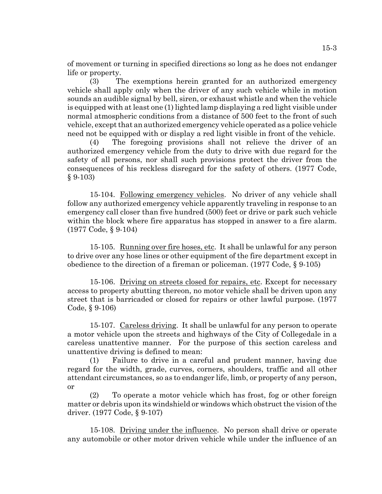of movement or turning in specified directions so long as he does not endanger life or property.

(3) The exemptions herein granted for an authorized emergency vehicle shall apply only when the driver of any such vehicle while in motion sounds an audible signal by bell, siren, or exhaust whistle and when the vehicle is equipped with at least one (1) lighted lamp displaying a red light visible under normal atmospheric conditions from a distance of 500 feet to the front of such vehicle, except that an authorized emergency vehicle operated as a police vehicle need not be equipped with or display a red light visible in front of the vehicle.

(4) The foregoing provisions shall not relieve the driver of an authorized emergency vehicle from the duty to drive with due regard for the safety of all persons, nor shall such provisions protect the driver from the consequences of his reckless disregard for the safety of others. (1977 Code, § 9-103)

15-104. Following emergency vehicles. No driver of any vehicle shall follow any authorized emergency vehicle apparently traveling in response to an emergency call closer than five hundred (500) feet or drive or park such vehicle within the block where fire apparatus has stopped in answer to a fire alarm. (1977 Code, § 9-104)

15-105. Running over fire hoses, etc. It shall be unlawful for any person to drive over any hose lines or other equipment of the fire department except in obedience to the direction of a fireman or policeman. (1977 Code, § 9-105)

15-106. Driving on streets closed for repairs, etc. Except for necessary access to property abutting thereon, no motor vehicle shall be driven upon any street that is barricaded or closed for repairs or other lawful purpose. (1977 Code, § 9-106)

15-107. Careless driving. It shall be unlawful for any person to operate a motor vehicle upon the streets and highways of the City of Collegedale in a careless unattentive manner. For the purpose of this section careless and unattentive driving is defined to mean:

(1) Failure to drive in a careful and prudent manner, having due regard for the width, grade, curves, corners, shoulders, traffic and all other attendant circumstances, so as to endanger life, limb, or property of any person, or

(2) To operate a motor vehicle which has frost, fog or other foreign matter or debris upon its windshield or windows which obstruct the vision of the driver. (1977 Code, § 9-107)

15-108. Driving under the influence. No person shall drive or operate any automobile or other motor driven vehicle while under the influence of an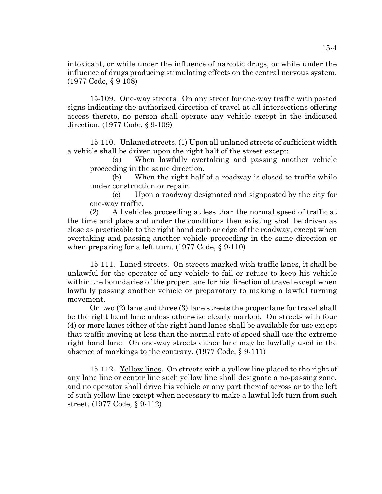intoxicant, or while under the influence of narcotic drugs, or while under the influence of drugs producing stimulating effects on the central nervous system. (1977 Code, § 9-108)

15-109. One-way streets. On any street for one-way traffic with posted signs indicating the authorized direction of travel at all intersections offering access thereto, no person shall operate any vehicle except in the indicated direction. (1977 Code, § 9-109)

15-110. Unlaned streets. (1) Upon all unlaned streets of sufficient width a vehicle shall be driven upon the right half of the street except:

(a) When lawfully overtaking and passing another vehicle proceeding in the same direction.

(b) When the right half of a roadway is closed to traffic while under construction or repair.

(c) Upon a roadway designated and signposted by the city for one-way traffic.

(2) All vehicles proceeding at less than the normal speed of traffic at the time and place and under the conditions then existing shall be driven as close as practicable to the right hand curb or edge of the roadway, except when overtaking and passing another vehicle proceeding in the same direction or when preparing for a left turn. (1977 Code, § 9-110)

15-111. Laned streets. On streets marked with traffic lanes, it shall be unlawful for the operator of any vehicle to fail or refuse to keep his vehicle within the boundaries of the proper lane for his direction of travel except when lawfully passing another vehicle or preparatory to making a lawful turning movement.

On two (2) lane and three (3) lane streets the proper lane for travel shall be the right hand lane unless otherwise clearly marked. On streets with four (4) or more lanes either of the right hand lanes shall be available for use except that traffic moving at less than the normal rate of speed shall use the extreme right hand lane. On one-way streets either lane may be lawfully used in the absence of markings to the contrary. (1977 Code, § 9-111)

15-112. Yellow lines. On streets with a yellow line placed to the right of any lane line or center line such yellow line shall designate a no-passing zone, and no operator shall drive his vehicle or any part thereof across or to the left of such yellow line except when necessary to make a lawful left turn from such street. (1977 Code, § 9-112)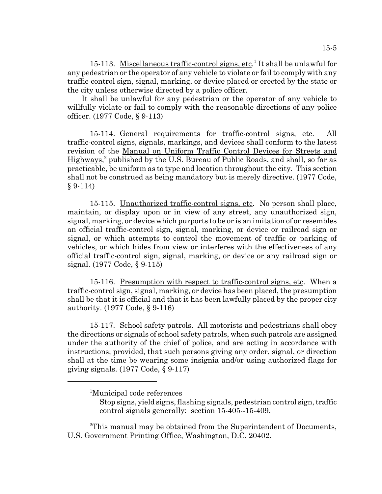15-113. Miscellaneous traffic-control signs, etc.<sup>1</sup> It shall be unlawful for any pedestrian or the operator of any vehicle to violate or fail to comply with any traffic-control sign, signal, marking, or device placed or erected by the state or the city unless otherwise directed by a police officer.

 It shall be unlawful for any pedestrian or the operator of any vehicle to willfully violate or fail to comply with the reasonable directions of any police officer. (1977 Code, § 9-113)

15-114. General requirements for traffic-control signs, etc. All traffic-control signs, signals, markings, and devices shall conform to the latest revision of the Manual on Uniform Traffic Control Devices for Streets and Highways,<sup>2</sup> published by the U.S. Bureau of Public Roads, and shall, so far as practicable, be uniform as to type and location throughout the city. This section shall not be construed as being mandatory but is merely directive. (1977 Code,  $§ 9-114)$ 

15-115. Unauthorized traffic-control signs, etc. No person shall place, maintain, or display upon or in view of any street, any unauthorized sign, signal, marking, or device which purports to be or is an imitation of or resembles an official traffic-control sign, signal, marking, or device or railroad sign or signal, or which attempts to control the movement of traffic or parking of vehicles, or which hides from view or interferes with the effectiveness of any official traffic-control sign, signal, marking, or device or any railroad sign or signal. (1977 Code, § 9-115)

15-116. Presumption with respect to traffic-control signs, etc. When a traffic-control sign, signal, marking, or device has been placed, the presumption shall be that it is official and that it has been lawfully placed by the proper city authority. (1977 Code, § 9-116)

15-117. School safety patrols. All motorists and pedestrians shall obey the directions or signals of school safety patrols, when such patrols are assigned under the authority of the chief of police, and are acting in accordance with instructions; provided, that such persons giving any order, signal, or direction shall at the time be wearing some insignia and/or using authorized flags for giving signals. (1977 Code, § 9-117)

 $2$ This manual may be obtained from the Superintendent of Documents, U.S. Government Printing Office, Washington, D.C. 20402.

<sup>&</sup>lt;sup>1</sup>Municipal code references

Stop signs, yield signs, flashing signals, pedestrian control sign, traffic control signals generally: section 15-405--15-409.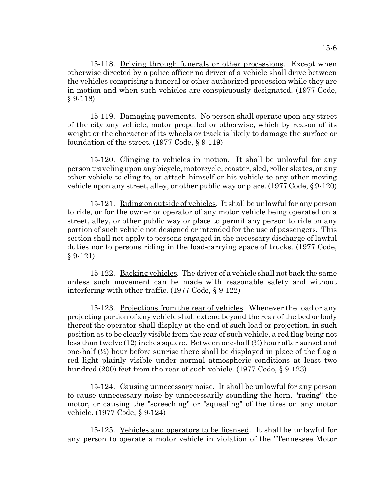15-118. Driving through funerals or other processions. Except when otherwise directed by a police officer no driver of a vehicle shall drive between the vehicles comprising a funeral or other authorized procession while they are in motion and when such vehicles are conspicuously designated. (1977 Code,  $§ 9-118)$ 

15-119. Damaging pavements. No person shall operate upon any street of the city any vehicle, motor propelled or otherwise, which by reason of its weight or the character of its wheels or track is likely to damage the surface or foundation of the street. (1977 Code, § 9-119)

15-120. Clinging to vehicles in motion. It shall be unlawful for any person traveling upon any bicycle, motorcycle, coaster, sled, roller skates, or any other vehicle to cling to, or attach himself or his vehicle to any other moving vehicle upon any street, alley, or other public way or place. (1977 Code, § 9-120)

15-121. Riding on outside of vehicles. It shall be unlawful for any person to ride, or for the owner or operator of any motor vehicle being operated on a street, alley, or other public way or place to permit any person to ride on any portion of such vehicle not designed or intended for the use of passengers. This section shall not apply to persons engaged in the necessary discharge of lawful duties nor to persons riding in the load-carrying space of trucks. (1977 Code, § 9-121)

15-122. Backing vehicles. The driver of a vehicle shall not back the same unless such movement can be made with reasonable safety and without interfering with other traffic. (1977 Code, § 9-122)

15-123. Projections from the rear of vehicles. Whenever the load or any projecting portion of any vehicle shall extend beyond the rear of the bed or body thereof the operator shall display at the end of such load or projection, in such position as to be clearly visible from the rear of such vehicle, a red flag being not less than twelve (12) inches square. Between one-half (½) hour after sunset and one-half  $(\frac{1}{2})$  hour before sunrise there shall be displayed in place of the flag a red light plainly visible under normal atmospheric conditions at least two hundred (200) feet from the rear of such vehicle. (1977 Code, § 9-123)

15-124. Causing unnecessary noise. It shall be unlawful for any person to cause unnecessary noise by unnecessarily sounding the horn, "racing" the motor, or causing the "screeching" or "squealing" of the tires on any motor vehicle. (1977 Code, § 9-124)

15-125. Vehicles and operators to be licensed. It shall be unlawful for any person to operate a motor vehicle in violation of the "Tennessee Motor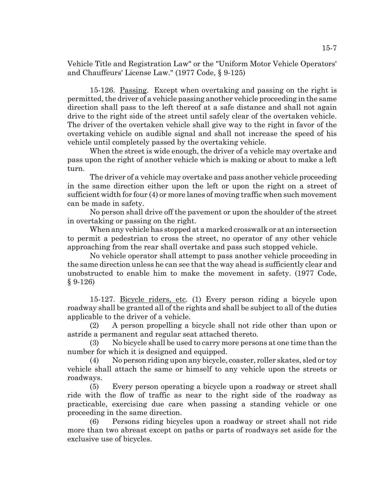Vehicle Title and Registration Law" or the "Uniform Motor Vehicle Operators' and Chauffeurs' License Law." (1977 Code, § 9-125)

15-126. Passing. Except when overtaking and passing on the right is permitted, the driver of a vehicle passing another vehicle proceeding in the same direction shall pass to the left thereof at a safe distance and shall not again drive to the right side of the street until safely clear of the overtaken vehicle. The driver of the overtaken vehicle shall give way to the right in favor of the overtaking vehicle on audible signal and shall not increase the speed of his vehicle until completely passed by the overtaking vehicle.

When the street is wide enough, the driver of a vehicle may overtake and pass upon the right of another vehicle which is making or about to make a left turn.

The driver of a vehicle may overtake and pass another vehicle proceeding in the same direction either upon the left or upon the right on a street of sufficient width for four (4) or more lanes of moving traffic when such movement can be made in safety.

No person shall drive off the pavement or upon the shoulder of the street in overtaking or passing on the right.

When any vehicle has stopped at a marked crosswalk or at an intersection to permit a pedestrian to cross the street, no operator of any other vehicle approaching from the rear shall overtake and pass such stopped vehicle.

No vehicle operator shall attempt to pass another vehicle proceeding in the same direction unless he can see that the way ahead is sufficiently clear and unobstructed to enable him to make the movement in safety. (1977 Code, § 9-126)

15-127. Bicycle riders, etc. (1) Every person riding a bicycle upon roadway shall be granted all of the rights and shall be subject to all of the duties applicable to the driver of a vehicle.

(2) A person propelling a bicycle shall not ride other than upon or astride a permanent and regular seat attached thereto.

(3) No bicycle shall be used to carry more persons at one time than the number for which it is designed and equipped.

(4) No person riding upon any bicycle, coaster, roller skates, sled or toy vehicle shall attach the same or himself to any vehicle upon the streets or roadways.

(5) Every person operating a bicycle upon a roadway or street shall ride with the flow of traffic as near to the right side of the roadway as practicable, exercising due care when passing a standing vehicle or one proceeding in the same direction.

(6) Persons riding bicycles upon a roadway or street shall not ride more than two abreast except on paths or parts of roadways set aside for the exclusive use of bicycles.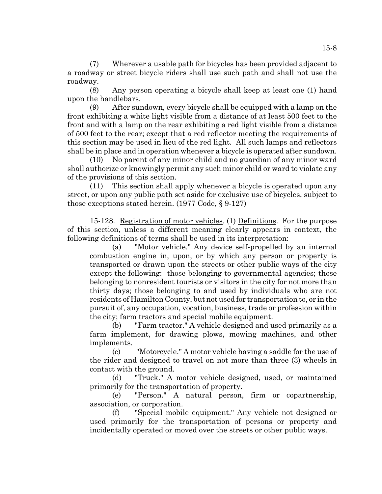(7) Wherever a usable path for bicycles has been provided adjacent to a roadway or street bicycle riders shall use such path and shall not use the roadway.

(8) Any person operating a bicycle shall keep at least one (1) hand upon the handlebars.

(9) After sundown, every bicycle shall be equipped with a lamp on the front exhibiting a white light visible from a distance of at least 500 feet to the front and with a lamp on the rear exhibiting a red light visible from a distance of 500 feet to the rear; except that a red reflector meeting the requirements of this section may be used in lieu of the red light. All such lamps and reflectors shall be in place and in operation whenever a bicycle is operated after sundown.

(10) No parent of any minor child and no guardian of any minor ward shall authorize or knowingly permit any such minor child or ward to violate any of the provisions of this section.

(11) This section shall apply whenever a bicycle is operated upon any street, or upon any public path set aside for exclusive use of bicycles, subject to those exceptions stated herein. (1977 Code, § 9-127)

15-128. Registration of motor vehicles. (1) Definitions. For the purpose of this section, unless a different meaning clearly appears in context, the following definitions of terms shall be used in its interpretation:

(a) "Motor vehicle." Any device self-propelled by an internal combustion engine in, upon, or by which any person or property is transported or drawn upon the streets or other public ways of the city except the following: those belonging to governmental agencies; those belonging to nonresident tourists or visitors in the city for not more than thirty days; those belonging to and used by individuals who are not residents of Hamilton County, but not used for transportation to, or in the pursuit of, any occupation, vocation, business, trade or profession within the city; farm tractors and special mobile equipment.

(b) "Farm tractor." A vehicle designed and used primarily as a farm implement, for drawing plows, mowing machines, and other implements.

(c) "Motorcycle." A motor vehicle having a saddle for the use of the rider and designed to travel on not more than three (3) wheels in contact with the ground.

(d) "Truck." A motor vehicle designed, used, or maintained primarily for the transportation of property.

(e) "Person." A natural person, firm or copartnership, association, or corporation.

(f) "Special mobile equipment." Any vehicle not designed or used primarily for the transportation of persons or property and incidentally operated or moved over the streets or other public ways.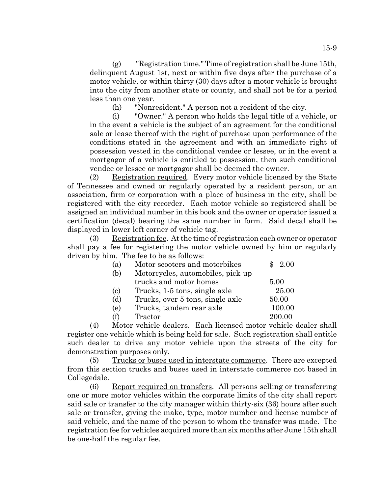(g) "Registration time." Time of registration shall be June 15th, delinquent August 1st, next or within five days after the purchase of a motor vehicle, or within thirty (30) days after a motor vehicle is brought into the city from another state or county, and shall not be for a period less than one year.

(h) "Nonresident." A person not a resident of the city.

(i) "Owner." A person who holds the legal title of a vehicle, or in the event a vehicle is the subject of an agreement for the conditional sale or lease thereof with the right of purchase upon performance of the conditions stated in the agreement and with an immediate right of possession vested in the conditional vendee or lessee, or in the event a mortgagor of a vehicle is entitled to possession, then such conditional vendee or lessee or mortgagor shall be deemed the owner.

(2) Registration required. Every motor vehicle licensed by the State of Tennessee and owned or regularly operated by a resident person, or an association, firm or corporation with a place of business in the city, shall be registered with the city recorder. Each motor vehicle so registered shall be assigned an individual number in this book and the owner or operator issued a certification (decal) bearing the same number in form. Said decal shall be displayed in lower left corner of vehicle tag.

(3) Registration fee. At the time of registration each owner or operator shall pay a fee for registering the motor vehicle owned by him or regularly driven by him. The fee to be as follows:

| (a)                       | Motor scooters and motorbikes     | -2.00  |
|---------------------------|-----------------------------------|--------|
| (b)                       | Motorcycles, automobiles, pick-up |        |
|                           | trucks and motor homes            | 5.00   |
| $\left( \text{c} \right)$ | Trucks, 1-5 tons, single axle     | 25.00  |
| (d)                       | Trucks, over 5 tons, single axle  | 50.00  |
| (e)                       | Trucks, tandem rear axle          | 100.00 |
| (f)                       | Tractor                           | 200.00 |

(4) Motor vehicle dealers. Each licensed motor vehicle dealer shall register one vehicle which is being held for sale. Such registration shall entitle such dealer to drive any motor vehicle upon the streets of the city for demonstration purposes only.

(5) Trucks or buses used in interstate commerce. There are excepted from this section trucks and buses used in interstate commerce not based in Collegedale.

(6) Report required on transfers. All persons selling or transferring one or more motor vehicles within the corporate limits of the city shall report said sale or transfer to the city manager within thirty-six (36) hours after such sale or transfer, giving the make, type, motor number and license number of said vehicle, and the name of the person to whom the transfer was made. The registration fee for vehicles acquired more than six months after June 15th shall be one-half the regular fee.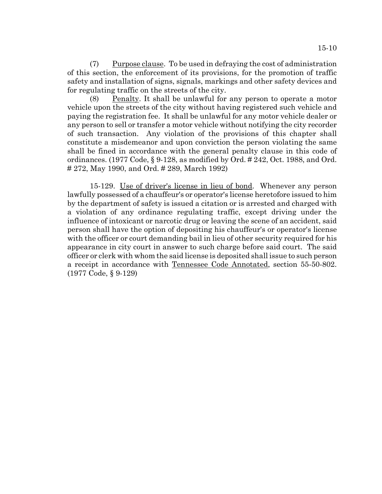(7) Purpose clause. To be used in defraying the cost of administration of this section, the enforcement of its provisions, for the promotion of traffic safety and installation of signs, signals, markings and other safety devices and for regulating traffic on the streets of the city.

(8) Penalty. It shall be unlawful for any person to operate a motor vehicle upon the streets of the city without having registered such vehicle and paying the registration fee. It shall be unlawful for any motor vehicle dealer or any person to sell or transfer a motor vehicle without notifying the city recorder of such transaction. Any violation of the provisions of this chapter shall constitute a misdemeanor and upon conviction the person violating the same shall be fined in accordance with the general penalty clause in this code of ordinances. (1977 Code, § 9-128, as modified by Ord. # 242, Oct. 1988, and Ord. # 272, May 1990, and Ord. # 289, March 1992)

15-129. Use of driver's license in lieu of bond. Whenever any person lawfully possessed of a chauffeur's or operator's license heretofore issued to him by the department of safety is issued a citation or is arrested and charged with a violation of any ordinance regulating traffic, except driving under the influence of intoxicant or narcotic drug or leaving the scene of an accident, said person shall have the option of depositing his chauffeur's or operator's license with the officer or court demanding bail in lieu of other security required for his appearance in city court in answer to such charge before said court. The said officer or clerk with whom the said license is deposited shall issue to such person a receipt in accordance with Tennessee Code Annotated, section 55-50-802. (1977 Code, § 9-129)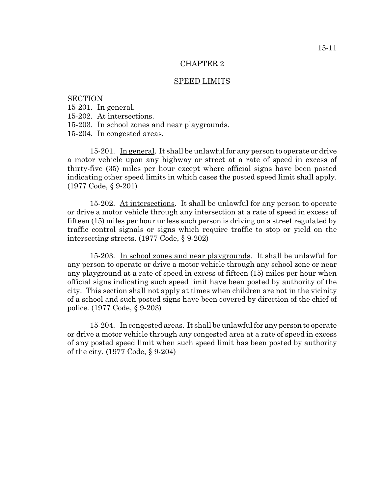### SPEED LIMITS

# **SECTION**

15-201. In general.

- 15-202. At intersections.
- 15-203. In school zones and near playgrounds.

15-204. In congested areas.

15-201. In general. It shall be unlawful for any person to operate or drive a motor vehicle upon any highway or street at a rate of speed in excess of thirty-five (35) miles per hour except where official signs have been posted indicating other speed limits in which cases the posted speed limit shall apply. (1977 Code, § 9-201)

15-202. At intersections. It shall be unlawful for any person to operate or drive a motor vehicle through any intersection at a rate of speed in excess of fifteen (15) miles per hour unless such person is driving on a street regulated by traffic control signals or signs which require traffic to stop or yield on the intersecting streets. (1977 Code, § 9-202)

15-203. In school zones and near playgrounds. It shall be unlawful for any person to operate or drive a motor vehicle through any school zone or near any playground at a rate of speed in excess of fifteen (15) miles per hour when official signs indicating such speed limit have been posted by authority of the city. This section shall not apply at times when children are not in the vicinity of a school and such posted signs have been covered by direction of the chief of police. (1977 Code, § 9-203)

15-204. In congested areas. It shall be unlawful for any person to operate or drive a motor vehicle through any congested area at a rate of speed in excess of any posted speed limit when such speed limit has been posted by authority of the city. (1977 Code, § 9-204)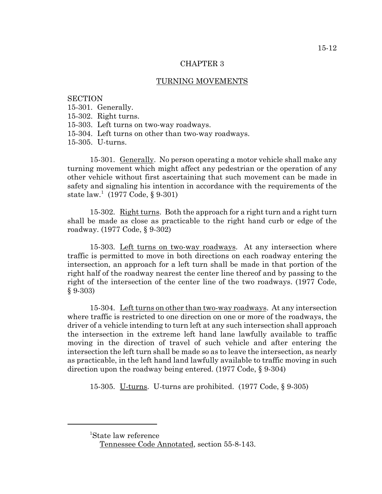## TURNING MOVEMENTS

# **SECTION**

15-301. Generally.

15-302. Right turns.

15-303. Left turns on two-way roadways.

15-304. Left turns on other than two-way roadways.

15-305. U-turns.

15-301. Generally. No person operating a motor vehicle shall make any turning movement which might affect any pedestrian or the operation of any other vehicle without first ascertaining that such movement can be made in safety and signaling his intention in accordance with the requirements of the state  $law. (1977 \text{ Code}, \S 9.301)$ 

15-302. Right turns. Both the approach for a right turn and a right turn shall be made as close as practicable to the right hand curb or edge of the roadway. (1977 Code, § 9-302)

15-303. Left turns on two-way roadways. At any intersection where traffic is permitted to move in both directions on each roadway entering the intersection, an approach for a left turn shall be made in that portion of the right half of the roadway nearest the center line thereof and by passing to the right of the intersection of the center line of the two roadways. (1977 Code,  $§ 9-303)$ 

15-304. Left turns on other than two-way roadways. At any intersection where traffic is restricted to one direction on one or more of the roadways, the driver of a vehicle intending to turn left at any such intersection shall approach the intersection in the extreme left hand lane lawfully available to traffic moving in the direction of travel of such vehicle and after entering the intersection the left turn shall be made so as to leave the intersection, as nearly as practicable, in the left hand land lawfully available to traffic moving in such direction upon the roadway being entered. (1977 Code, § 9-304)

15-305. U-turns. U-turns are prohibited. (1977 Code, § 9-305)

<sup>1</sup> State law reference

Tennessee Code Annotated, section 55-8-143.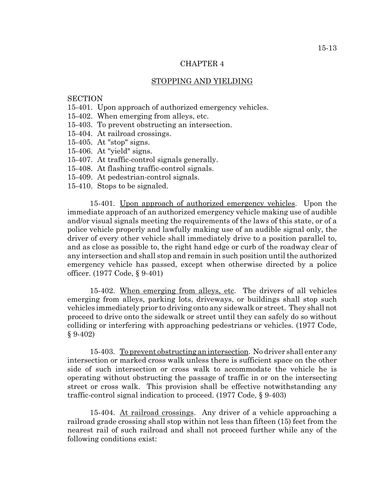# STOPPING AND YIELDING

# **SECTION**

- 15-401. Upon approach of authorized emergency vehicles.
- 15-402. When emerging from alleys, etc.
- 15-403. To prevent obstructing an intersection.
- 15-404. At railroad crossings.
- 15-405. At "stop" signs.
- 15-406. At "yield" signs.
- 15-407. At traffic-control signals generally.
- 15-408. At flashing traffic-control signals.
- 15-409. At pedestrian-control signals.
- 15-410. Stops to be signaled.

15-401. Upon approach of authorized emergency vehicles. Upon the immediate approach of an authorized emergency vehicle making use of audible and/or visual signals meeting the requirements of the laws of this state, or of a police vehicle properly and lawfully making use of an audible signal only, the driver of every other vehicle shall immediately drive to a position parallel to, and as close as possible to, the right hand edge or curb of the roadway clear of any intersection and shall stop and remain in such position until the authorized emergency vehicle has passed, except when otherwise directed by a police officer. (1977 Code, § 9-401)

15-402. When emerging from alleys, etc. The drivers of all vehicles emerging from alleys, parking lots, driveways, or buildings shall stop such vehicles immediately prior to driving onto any sidewalk or street. They shall not proceed to drive onto the sidewalk or street until they can safely do so without colliding or interfering with approaching pedestrians or vehicles. (1977 Code, § 9-402)

15-403. To prevent obstructing an intersection. No driver shall enter any intersection or marked cross walk unless there is sufficient space on the other side of such intersection or cross walk to accommodate the vehicle he is operating without obstructing the passage of traffic in or on the intersecting street or cross walk. This provision shall be effective notwithstanding any traffic-control signal indication to proceed. (1977 Code, § 9-403)

15-404. At railroad crossings. Any driver of a vehicle approaching a railroad grade crossing shall stop within not less than fifteen (15) feet from the nearest rail of such railroad and shall not proceed further while any of the following conditions exist: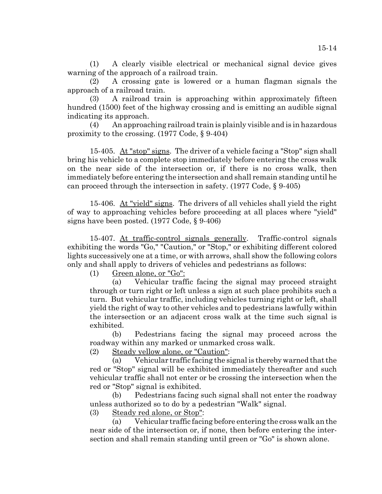(1) A clearly visible electrical or mechanical signal device gives warning of the approach of a railroad train.

(2) A crossing gate is lowered or a human flagman signals the approach of a railroad train.

(3) A railroad train is approaching within approximately fifteen hundred (1500) feet of the highway crossing and is emitting an audible signal indicating its approach.

(4) An approaching railroad train is plainly visible and is in hazardous proximity to the crossing. (1977 Code, § 9-404)

15-405. At "stop" signs. The driver of a vehicle facing a "Stop" sign shall bring his vehicle to a complete stop immediately before entering the cross walk on the near side of the intersection or, if there is no cross walk, then immediately before entering the intersection and shall remain standing until he can proceed through the intersection in safety. (1977 Code, § 9-405)

15-406. At "yield" signs. The drivers of all vehicles shall yield the right of way to approaching vehicles before proceeding at all places where "yield" signs have been posted. (1977 Code, § 9-406)

15-407. At traffic-control signals generally. Traffic-control signals exhibiting the words "Go," "Caution," or "Stop," or exhibiting different colored lights successively one at a time, or with arrows, shall show the following colors only and shall apply to drivers of vehicles and pedestrians as follows:

(1) Green alone, or "Go":

(a) Vehicular traffic facing the signal may proceed straight through or turn right or left unless a sign at such place prohibits such a turn. But vehicular traffic, including vehicles turning right or left, shall yield the right of way to other vehicles and to pedestrians lawfully within the intersection or an adjacent cross walk at the time such signal is exhibited.

(b) Pedestrians facing the signal may proceed across the roadway within any marked or unmarked cross walk.

(2) Steady yellow alone, or "Caution":

(a) Vehicular traffic facing the signal is thereby warned that the red or "Stop" signal will be exhibited immediately thereafter and such vehicular traffic shall not enter or be crossing the intersection when the red or "Stop" signal is exhibited.

(b) Pedestrians facing such signal shall not enter the roadway unless authorized so to do by a pedestrian "Walk" signal.

(3) Steady red alone, or Stop":

(a) Vehicular traffic facing before entering the cross walk an the near side of the intersection or, if none, then before entering the intersection and shall remain standing until green or "Go" is shown alone.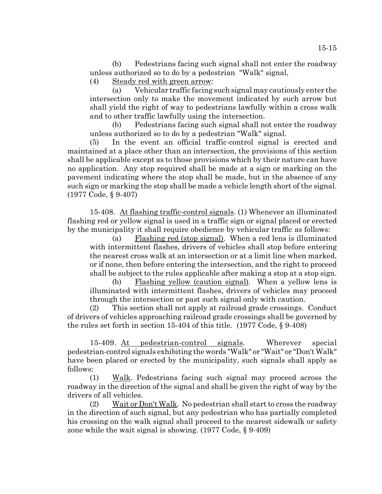(b) Pedestrians facing such signal shall not enter the roadway unless authorized so to do by a pedestrian "Walk" signal,

(4) Steady red with green arrow:

(a) Vehicular traffic facing such signal may cautiously enter the intersection only to make the movement indicated by such arrow but shall yield the right of way to pedestrians lawfully within a cross walk and to other traffic lawfully using the intersection.

(b) Pedestrians facing such signal shall not enter the roadway unless authorized so to do by a pedestrian "Walk" signal.

(5) In the event an official traffic-control signal is erected and maintained at a place other than an intersection, the provisions of this section shall be applicable except as to those provisions which by their nature can have no application. Any stop required shall be made at a sign or marking on the pavement indicating where the stop shall be made, but in the absence of any such sign or marking the stop shall be made a vehicle length short of the signal. (1977 Code, § 9-407)

15-408. At flashing traffic-control signals. (1) Whenever an illuminated flashing red or yellow signal is used in a traffic sign or signal placed or erected by the municipality it shall require obedience by vehicular traffic as follows:

(a) Flashing red (stop signal). When a red lens is illuminated with intermittent flashes, drivers of vehicles shall stop before entering the nearest cross walk at an intersection or at a limit line when marked, or if none, then before entering the intersection, and the right to proceed shall be subject to the rules applicable after making a stop at a stop sign.

(b) Flashing yellow (caution signal). When a yellow lens is illuminated with intermittent flashes, drivers of vehicles may proceed through the intersection or past such signal only with caution.

(2) This section shall not apply at railroad grade crossings. Conduct of drivers of vehicles approaching railroad grade crossings shall be governed by the rules set forth in section 15-404 of this title. (1977 Code, § 9-408)

15-409. At pedestrian-control signals. Wherever special pedestrian-control signals exhibiting the words "Walk" or "Wait" or "Don't Walk" have been placed or erected by the municipality, such signals shall apply as follows:

(1) Walk. Pedestrians facing such signal may proceed across the roadway in the direction of the signal and shall be given the right of way by the drivers of all vehicles.

(2) Wait or Don't Walk. No pedestrian shall start to cross the roadway in the direction of such signal, but any pedestrian who has partially completed his crossing on the walk signal shall proceed to the nearest sidewalk or safety zone while the wait signal is showing. (1977 Code, § 9-409)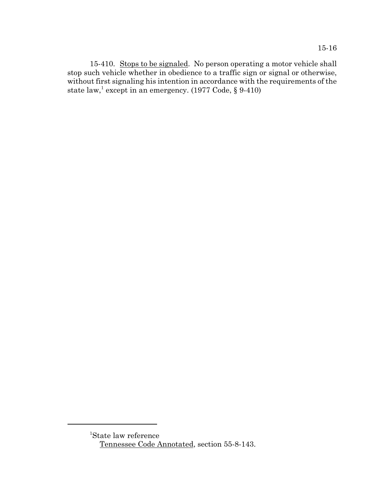15-410. Stops to be signaled. No person operating a motor vehicle shall stop such vehicle whether in obedience to a traffic sign or signal or otherwise, without first signaling his intention in accordance with the requirements of the state  $\text{law},^1$  except in an emergency. (1977 Code, § 9-410)

<sup>1</sup> State law reference Tennessee Code Annotated, section 55-8-143.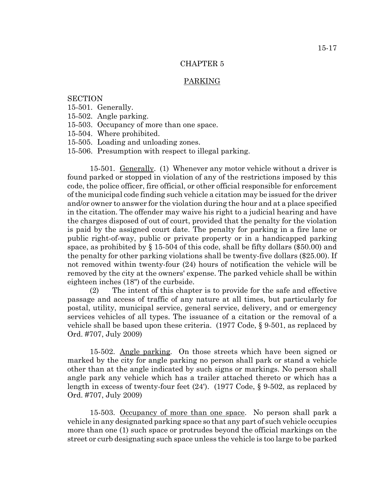# PARKING

# **SECTION**

- 15-501. Generally.
- 15-502. Angle parking.
- 15-503. Occupancy of more than one space.
- 15-504. Where prohibited.
- 15-505. Loading and unloading zones.
- 15-506. Presumption with respect to illegal parking.

15-501. Generally. (1) Whenever any motor vehicle without a driver is found parked or stopped in violation of any of the restrictions imposed by this code, the police officer, fire official, or other official responsible for enforcement of the municipal code finding such vehicle a citation may be issued for the driver and/or owner to answer for the violation during the hour and at a place specified in the citation. The offender may waive his right to a judicial hearing and have the charges disposed of out of court, provided that the penalty for the violation is paid by the assigned court date. The penalty for parking in a fire lane or public right-of-way, public or private property or in a handicapped parking space, as prohibited by  $\S 15-504$  of this code, shall be fifty dollars (\$50.00) and the penalty for other parking violations shall be twenty-five dollars (\$25.00). If not removed within twenty-four (24) hours of notification the vehicle will be removed by the city at the owners' expense. The parked vehicle shall be within eighteen inches (18") of the curbside.

(2) The intent of this chapter is to provide for the safe and effective passage and access of traffic of any nature at all times, but particularly for postal, utility, municipal service, general service, delivery, and or emergency services vehicles of all types. The issuance of a citation or the removal of a vehicle shall be based upon these criteria. (1977 Code, § 9-501, as replaced by Ord. #707, July 2009)

15-502. Angle parking. On those streets which have been signed or marked by the city for angle parking no person shall park or stand a vehicle other than at the angle indicated by such signs or markings. No person shall angle park any vehicle which has a trailer attached thereto or which has a length in excess of twenty-four feet (24'). (1977 Code, § 9-502, as replaced by Ord. #707, July 2009)

15-503. Occupancy of more than one space. No person shall park a vehicle in any designated parking space so that any part of such vehicle occupies more than one (1) such space or protrudes beyond the official markings on the street or curb designating such space unless the vehicle is too large to be parked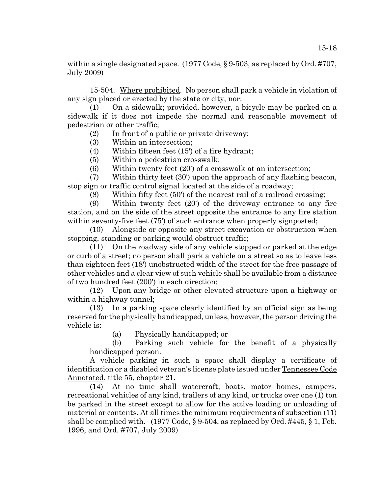within a single designated space. (1977 Code, § 9-503, as replaced by Ord. #707, July 2009)

15-504. Where prohibited. No person shall park a vehicle in violation of any sign placed or erected by the state or city, nor:

(1) On a sidewalk; provided, however, a bicycle may be parked on a sidewalk if it does not impede the normal and reasonable movement of pedestrian or other traffic;

(2) In front of a public or private driveway;

- (3) Within an intersection;
- (4) Within fifteen feet (15') of a fire hydrant;
- (5) Within a pedestrian crosswalk;
- (6) Within twenty feet (20') of a crosswalk at an intersection;

(7) Within thirty feet (30') upon the approach of any flashing beacon, stop sign or traffic control signal located at the side of a roadway;

(8) Within fifty feet (50') of the nearest rail of a railroad crossing;

(9) Within twenty feet (20') of the driveway entrance to any fire station, and on the side of the street opposite the entrance to any fire station within seventy-five feet (75') of such entrance when properly signposted;

(10) Alongside or opposite any street excavation or obstruction when stopping, standing or parking would obstruct traffic;

(11) On the roadway side of any vehicle stopped or parked at the edge or curb of a street; no person shall park a vehicle on a street so as to leave less than eighteen feet (18') unobstructed width of the street for the free passage of other vehicles and a clear view of such vehicle shall be available from a distance of two hundred feet (200') in each direction;

(12) Upon any bridge or other elevated structure upon a highway or within a highway tunnel;

(13) In a parking space clearly identified by an official sign as being reserved for the physically handicapped, unless, however, the person driving the vehicle is:

(a) Physically handicapped; or

(b) Parking such vehicle for the benefit of a physically handicapped person.

A vehicle parking in such a space shall display a certificate of identification or a disabled veteran's license plate issued under Tennessee Code Annotated, title 55, chapter 21.

(14) At no time shall watercraft, boats, motor homes, campers, recreational vehicles of any kind, trailers of any kind, or trucks over one (1) ton be parked in the street except to allow for the active loading or unloading of material or contents. At all times the minimum requirements of subsection (11) shall be complied with.  $(1977 \text{ Code}, \S 9-504, \text{as replaced by Ord.} \#445, \S 1, \text{Feb.})$ 1996, and Ord. #707, July 2009)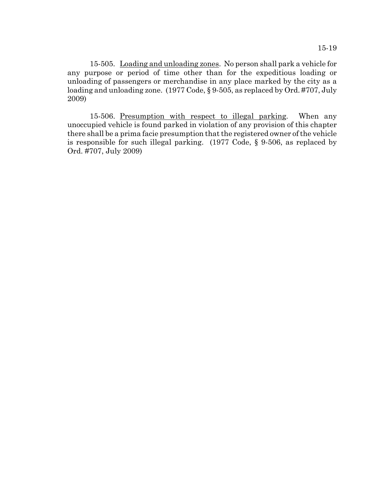15-505. Loading and unloading zones. No person shall park a vehicle for any purpose or period of time other than for the expeditious loading or unloading of passengers or merchandise in any place marked by the city as a loading and unloading zone. (1977 Code, § 9-505, as replaced by Ord. #707, July 2009)

15-506. <u>Presumption with respect to illegal parking</u>. When any unoccupied vehicle is found parked in violation of any provision of this chapter there shall be a prima facie presumption that the registered owner of the vehicle is responsible for such illegal parking. (1977 Code, § 9-506, as replaced by Ord. #707, July 2009)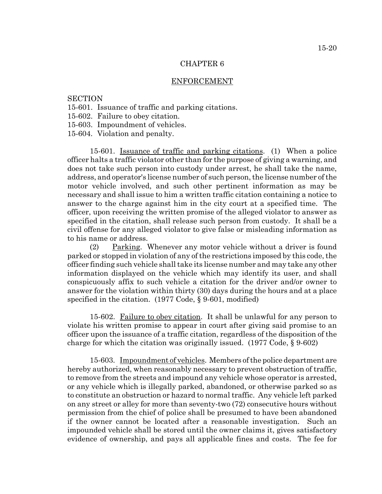### ENFORCEMENT

# **SECTION**

- 15-601. Issuance of traffic and parking citations.
- 15-602. Failure to obey citation.
- 15-603. Impoundment of vehicles.
- 15-604. Violation and penalty.

15-601. Issuance of traffic and parking citations. (1) When a police officer halts a traffic violator other than for the purpose of giving a warning, and does not take such person into custody under arrest, he shall take the name, address, and operator's license number of such person, the license number of the motor vehicle involved, and such other pertinent information as may be necessary and shall issue to him a written traffic citation containing a notice to answer to the charge against him in the city court at a specified time. The officer, upon receiving the written promise of the alleged violator to answer as specified in the citation, shall release such person from custody. It shall be a civil offense for any alleged violator to give false or misleading information as to his name or address.

(2) Parking. Whenever any motor vehicle without a driver is found parked or stopped in violation of any of the restrictions imposed by this code, the officer finding such vehicle shall take its license number and may take any other information displayed on the vehicle which may identify its user, and shall conspicuously affix to such vehicle a citation for the driver and/or owner to answer for the violation within thirty (30) days during the hours and at a place specified in the citation. (1977 Code, § 9-601, modified)

15-602. Failure to obey citation. It shall be unlawful for any person to violate his written promise to appear in court after giving said promise to an officer upon the issuance of a traffic citation, regardless of the disposition of the charge for which the citation was originally issued. (1977 Code, § 9-602)

15-603. Impoundment of vehicles. Members of the police department are hereby authorized, when reasonably necessary to prevent obstruction of traffic, to remove from the streets and impound any vehicle whose operator is arrested, or any vehicle which is illegally parked, abandoned, or otherwise parked so as to constitute an obstruction or hazard to normal traffic. Any vehicle left parked on any street or alley for more than seventy-two (72) consecutive hours without permission from the chief of police shall be presumed to have been abandoned if the owner cannot be located after a reasonable investigation. Such an impounded vehicle shall be stored until the owner claims it, gives satisfactory evidence of ownership, and pays all applicable fines and costs. The fee for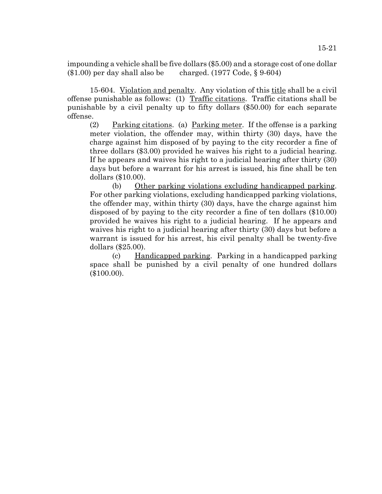impounding a vehicle shall be five dollars (\$5.00) and a storage cost of one dollar (\$1.00) per day shall also be charged. (1977 Code, § 9-604)

15-604. Violation and penalty. Any violation of this title shall be a civil offense punishable as follows: (1) Traffic citations. Traffic citations shall be punishable by a civil penalty up to fifty dollars (\$50.00) for each separate offense.

(2) Parking citations. (a) Parking meter. If the offense is a parking meter violation, the offender may, within thirty (30) days, have the charge against him disposed of by paying to the city recorder a fine of three dollars (\$3.00) provided he waives his right to a judicial hearing. If he appears and waives his right to a judicial hearing after thirty (30) days but before a warrant for his arrest is issued, his fine shall be ten dollars (\$10.00).

(b) Other parking violations excluding handicapped parking. For other parking violations, excluding handicapped parking violations, the offender may, within thirty (30) days, have the charge against him disposed of by paying to the city recorder a fine of ten dollars (\$10.00) provided he waives his right to a judicial hearing. If he appears and waives his right to a judicial hearing after thirty (30) days but before a warrant is issued for his arrest, his civil penalty shall be twenty-five dollars (\$25.00).

(c) Handicapped parking. Parking in a handicapped parking space shall be punished by a civil penalty of one hundred dollars (\$100.00).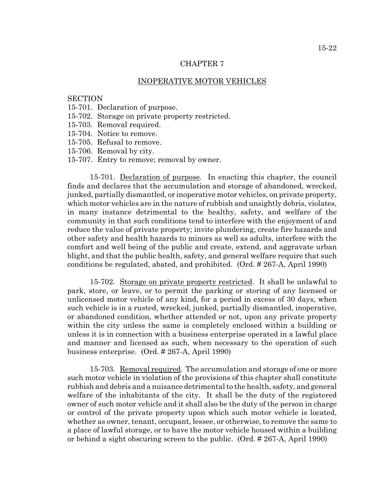### INOPERATIVE MOTOR VEHICLES

## **SECTION**

- 15-701. Declaration of purpose.
- 15-702. Storage on private property restricted.
- 15-703. Removal required.
- 15-704. Notice to remove.
- 15-705. Refusal to remove.
- 15-706. Removal by city.
- 15-707. Entry to remove; removal by owner.

15-701. Declaration of purpose. In enacting this chapter, the council finds and declares that the accumulation and storage of abandoned, wrecked, junked, partially dismantled, or inoperative motor vehicles, on private property, which motor vehicles are in the nature of rubbish and unsightly debris, violates, in many instance detrimental to the healthy, safety, and welfare of the community in that such conditions tend to interfere with the enjoyment of and reduce the value of private property; invite plundering, create fire hazards and other safety and health hazards to minors as well as adults, interfere with the comfort and well being of the public and create, extend, and aggravate urban blight, and that the public health, safety, and general welfare require that such conditions be regulated, abated, and prohibited. (Ord. # 267-A, April 1990)

15-702. Storage on private property restricted. It shall be unlawful to park, store, or leave, or to permit the parking or storing of any licensed or unlicensed motor vehicle of any kind, for a period in excess of 30 days, when such vehicle is in a rusted, wrecked, junked, partially dismantled, inoperative, or abandoned condition, whether attended or not, upon any private property within the city unless the same is completely enclosed within a building or unless it is in connection with a business enterprise operated in a lawful place and manner and licensed as such, when necessary to the operation of such business enterprise. (Ord. # 267-A, April 1990)

15-703. Removal required. The accumulation and storage of one or more such motor vehicle in violation of the provisions of this chapter shall constitute rubbish and debris and a nuisance detrimental to the health, safety, and general welfare of the inhabitants of the city. It shall be the duty of the registered owner of such motor vehicle and it shall also be the duty of the person in charge or control of the private property upon which such motor vehicle is located, whether as owner, tenant, occupant, lessee, or otherwise, to remove the same to a place of lawful storage, or to have the motor vehicle housed within a building or behind a sight obscuring screen to the public. (Ord. # 267-A, April 1990)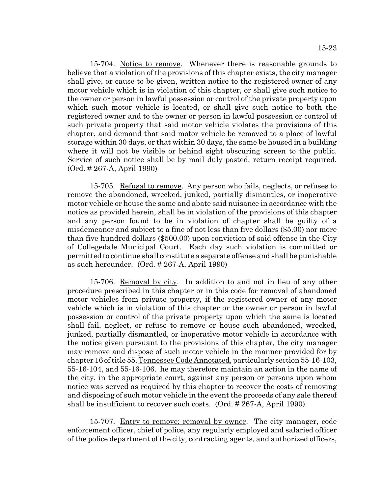15-704. Notice to remove. Whenever there is reasonable grounds to believe that a violation of the provisions of this chapter exists, the city manager shall give, or cause to be given, written notice to the registered owner of any motor vehicle which is in violation of this chapter, or shall give such notice to the owner or person in lawful possession or control of the private property upon which such motor vehicle is located, or shall give such notice to both the registered owner and to the owner or person in lawful possession or control of such private property that said motor vehicle violates the provisions of this chapter, and demand that said motor vehicle be removed to a place of lawful storage within 30 days, or that within 30 days, the same be housed in a building where it will not be visible or behind sight obscuring screen to the public. Service of such notice shall be by mail duly posted, return receipt required. (Ord. # 267-A, April 1990)

15-705. Refusal to remove. Any person who fails, neglects, or refuses to remove the abandoned, wrecked, junked, partially dismantles, or inoperative motor vehicle or house the same and abate said nuisance in accordance with the notice as provided herein, shall be in violation of the provisions of this chapter and any person found to be in violation of chapter shall be guilty of a misdemeanor and subject to a fine of not less than five dollars (\$5.00) nor more than five hundred dollars (\$500.00) upon conviction of said offense in the City of Collegedale Municipal Court. Each day such violation is committed or permitted to continue shall constitute a separate offense and shall be punishable as such hereunder. (Ord. # 267-A, April 1990)

15-706. Removal by city. In addition to and not in lieu of any other procedure prescribed in this chapter or in this code for removal of abandoned motor vehicles from private property, if the registered owner of any motor vehicle which is in violation of this chapter or the owner or person in lawful possession or control of the private property upon which the same is located shall fail, neglect, or refuse to remove or house such abandoned, wrecked, junked, partially dismantled, or inoperative motor vehicle in accordance with the notice given pursuant to the provisions of this chapter, the city manager may remove and dispose of such motor vehicle in the manner provided for by chapter 16 of title 55, Tennessee Code Annotated, particularly section 55-16-103, 55-16-104, and 55-16-106. he may therefore maintain an action in the name of the city, in the appropriate court, against any person or persons upon whom notice was served as required by this chapter to recover the costs of removing and disposing of such motor vehicle in the event the proceeds of any sale thereof shall be insufficient to recover such costs. (Ord. # 267-A, April 1990)

15-707. Entry to remove; removal by owner. The city manager, code enforcement officer, chief of police, any regularly employed and salaried officer of the police department of the city, contracting agents, and authorized officers,